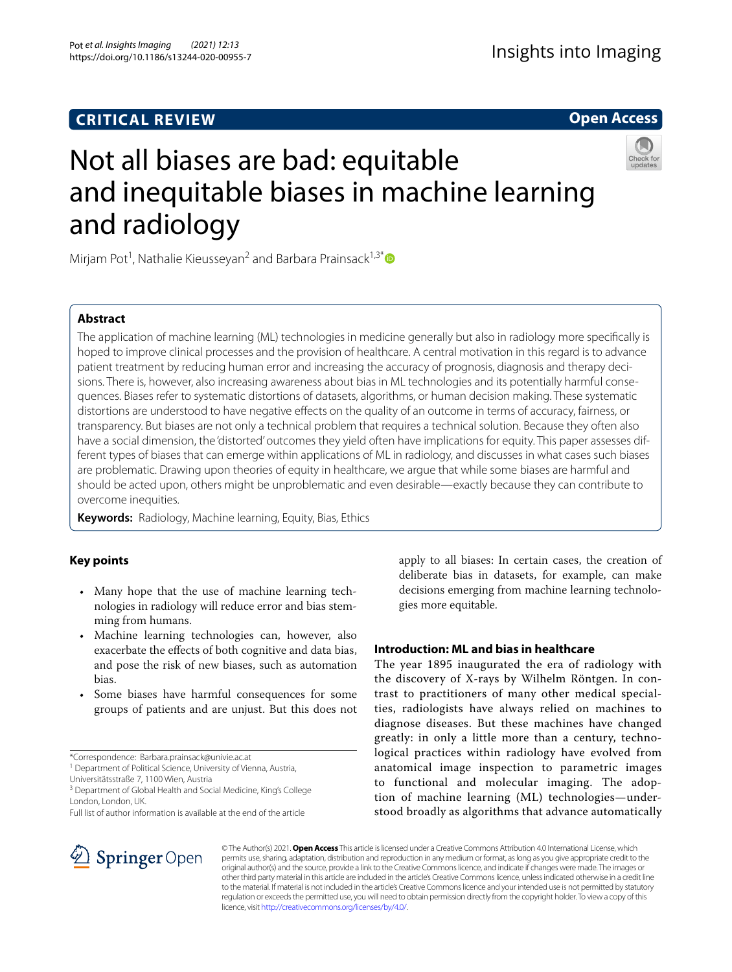# **CRITICAL REVIEW**

# **Open Access**



# Not all biases are bad: equitable and inequitable biases in machine learning and radiology

Mirjam Pot<sup>1</sup>, Nathalie Kieusseyan<sup>2</sup> and Barbara Prainsack<sup>1,3[\\*](http://orcid.org/0000-0002-6335-1532)</sup>

# **Abstract**

The application of machine learning (ML) technologies in medicine generally but also in radiology more specifcally is hoped to improve clinical processes and the provision of healthcare. A central motivation in this regard is to advance patient treatment by reducing human error and increasing the accuracy of prognosis, diagnosis and therapy decisions. There is, however, also increasing awareness about bias in ML technologies and its potentially harmful consequences. Biases refer to systematic distortions of datasets, algorithms, or human decision making. These systematic distortions are understood to have negative efects on the quality of an outcome in terms of accuracy, fairness, or transparency. But biases are not only a technical problem that requires a technical solution. Because they often also have a social dimension, the 'distorted' outcomes they yield often have implications for equity. This paper assesses different types of biases that can emerge within applications of ML in radiology, and discusses in what cases such biases are problematic. Drawing upon theories of equity in healthcare, we argue that while some biases are harmful and should be acted upon, others might be unproblematic and even desirable—exactly because they can contribute to overcome inequities.

**Keywords:** Radiology, Machine learning, Equity, Bias, Ethics

# **Key points**

- Many hope that the use of machine learning technologies in radiology will reduce error and bias stemming from humans.
- Machine learning technologies can, however, also exacerbate the efects of both cognitive and data bias, and pose the risk of new biases, such as automation bias.
- Some biases have harmful consequences for some groups of patients and are unjust. But this does not

<sup>1</sup> Department of Political Science, University of Vienna, Austria,

Universitätsstraße 7, 1100 Wien, Austria

<sup>3</sup> Department of Global Health and Social Medicine, King's College London, London, UK.

Full list of author information is available at the end of the article

apply to all biases: In certain cases, the creation of deliberate bias in datasets, for example, can make decisions emerging from machine learning technologies more equitable.

# **Introduction: ML and bias in healthcare**

The year 1895 inaugurated the era of radiology with the discovery of X-rays by Wilhelm Röntgen. In contrast to practitioners of many other medical specialties, radiologists have always relied on machines to diagnose diseases. But these machines have changed greatly: in only a little more than a century, technological practices within radiology have evolved from anatomical image inspection to parametric images to functional and molecular imaging. The adoption of machine learning (ML) technologies—understood broadly as algorithms that advance automatically



© The Author(s) 2021. **Open Access** This article is licensed under a Creative Commons Attribution 4.0 International License, which permits use, sharing, adaptation, distribution and reproduction in any medium or format, as long as you give appropriate credit to the original author(s) and the source, provide a link to the Creative Commons licence, and indicate if changes were made. The images or other third party material in this article are included in the article's Creative Commons licence, unless indicated otherwise in a credit line to the material. If material is not included in the article's Creative Commons licence and your intended use is not permitted by statutory regulation or exceeds the permitted use, you will need to obtain permission directly from the copyright holder. To view a copy of this licence, visit [http://creativecommons.org/licenses/by/4.0/.](http://creativecommons.org/licenses/by/4.0/)

<sup>\*</sup>Correspondence: Barbara.prainsack@univie.ac.at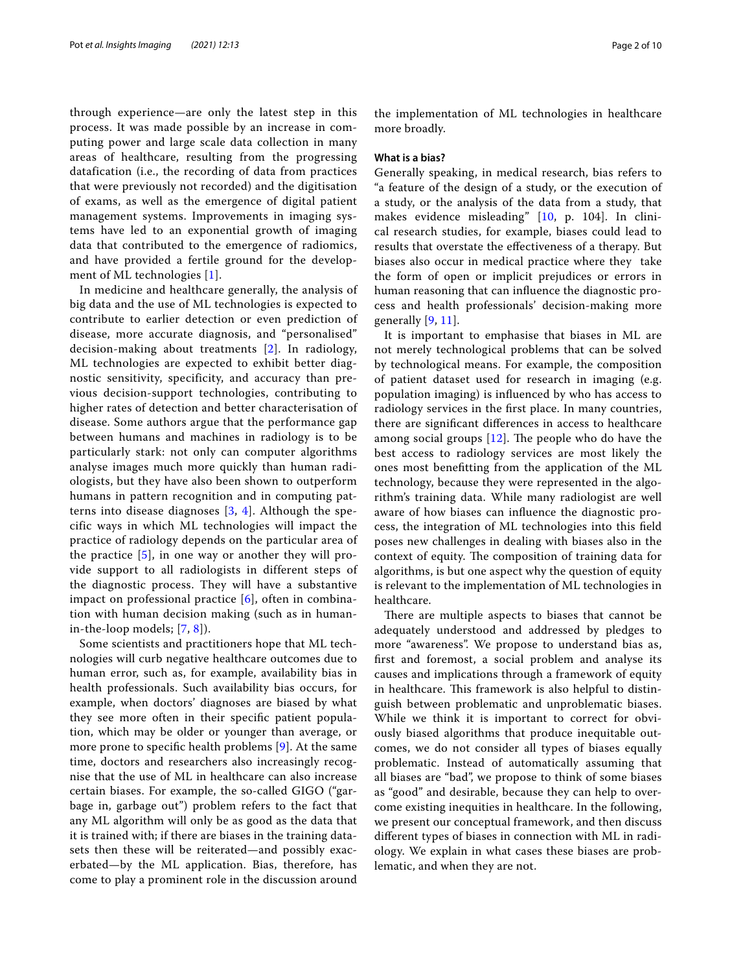through experience—are only the latest step in this process. It was made possible by an increase in computing power and large scale data collection in many areas of healthcare, resulting from the progressing datafication (i.e., the recording of data from practices that were previously not recorded) and the digitisation of exams, as well as the emergence of digital patient management systems. Improvements in imaging systems have led to an exponential growth of imaging data that contributed to the emergence of radiomics, and have provided a fertile ground for the development of ML technologies [[1\]](#page-8-0).

In medicine and healthcare generally, the analysis of big data and the use of ML technologies is expected to contribute to earlier detection or even prediction of disease, more accurate diagnosis, and "personalised" decision-making about treatments [[2\]](#page-8-1). In radiology, ML technologies are expected to exhibit better diagnostic sensitivity, specificity, and accuracy than previous decision-support technologies, contributing to higher rates of detection and better characterisation of disease. Some authors argue that the performance gap between humans and machines in radiology is to be particularly stark: not only can computer algorithms analyse images much more quickly than human radiologists, but they have also been shown to outperform humans in pattern recognition and in computing patterns into disease diagnoses [[3,](#page-8-2) [4](#page-8-3)]. Although the specific ways in which ML technologies will impact the practice of radiology depends on the particular area of the practice [\[5](#page-8-4)], in one way or another they will provide support to all radiologists in different steps of the diagnostic process. They will have a substantive impact on professional practice [[6](#page-8-5)], often in combination with human decision making (such as in humanin-the-loop models; [\[7](#page-8-6), [8](#page-8-7)]).

Some scientists and practitioners hope that ML technologies will curb negative healthcare outcomes due to human error, such as, for example, availability bias in health professionals. Such availability bias occurs, for example, when doctors' diagnoses are biased by what they see more often in their specifc patient population, which may be older or younger than average, or more prone to specifc health problems [\[9\]](#page-8-8). At the same time, doctors and researchers also increasingly recognise that the use of ML in healthcare can also increase certain biases. For example, the so-called GIGO ("garbage in, garbage out") problem refers to the fact that any ML algorithm will only be as good as the data that it is trained with; if there are biases in the training datasets then these will be reiterated—and possibly exacerbated—by the ML application. Bias, therefore, has come to play a prominent role in the discussion around the implementation of ML technologies in healthcare more broadly.

## **What is a bias?**

Generally speaking, in medical research, bias refers to "a feature of the design of a study, or the execution of a study, or the analysis of the data from a study, that makes evidence misleading" [[10,](#page-8-9) p. 104]. In clinical research studies, for example, biases could lead to results that overstate the efectiveness of a therapy. But biases also occur in medical practice where they take the form of open or implicit prejudices or errors in human reasoning that can infuence the diagnostic process and health professionals' decision-making more generally [[9,](#page-8-8) [11\]](#page-8-10).

It is important to emphasise that biases in ML are not merely technological problems that can be solved by technological means. For example, the composition of patient dataset used for research in imaging (e.g. population imaging) is infuenced by who has access to radiology services in the frst place. In many countries, there are signifcant diferences in access to healthcare among social groups  $[12]$  $[12]$  $[12]$ . The people who do have the best access to radiology services are most likely the ones most beneftting from the application of the ML technology, because they were represented in the algorithm's training data. While many radiologist are well aware of how biases can infuence the diagnostic process, the integration of ML technologies into this feld poses new challenges in dealing with biases also in the context of equity. The composition of training data for algorithms, is but one aspect why the question of equity is relevant to the implementation of ML technologies in healthcare.

There are multiple aspects to biases that cannot be adequately understood and addressed by pledges to more "awareness". We propose to understand bias as, frst and foremost, a social problem and analyse its causes and implications through a framework of equity in healthcare. This framework is also helpful to distinguish between problematic and unproblematic biases. While we think it is important to correct for obviously biased algorithms that produce inequitable outcomes, we do not consider all types of biases equally problematic. Instead of automatically assuming that all biases are "bad", we propose to think of some biases as "good" and desirable, because they can help to overcome existing inequities in healthcare. In the following, we present our conceptual framework, and then discuss diferent types of biases in connection with ML in radiology. We explain in what cases these biases are problematic, and when they are not.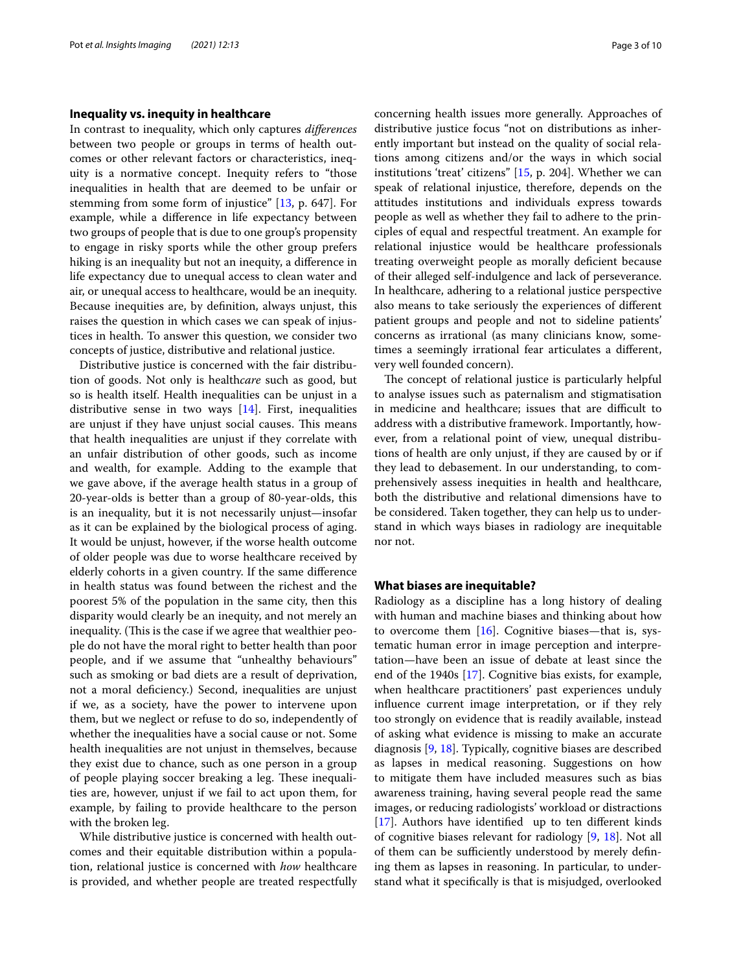# **Inequality vs. inequity in healthcare**

In contrast to inequality, which only captures *diferences* between two people or groups in terms of health outcomes or other relevant factors or characteristics, inequity is a normative concept. Inequity refers to "those inequalities in health that are deemed to be unfair or stemming from some form of injustice" [[13](#page-8-12), p. 647]. For example, while a diference in life expectancy between two groups of people that is due to one group's propensity to engage in risky sports while the other group prefers hiking is an inequality but not an inequity, a diference in life expectancy due to unequal access to clean water and air, or unequal access to healthcare, would be an inequity. Because inequities are, by defnition, always unjust, this raises the question in which cases we can speak of injustices in health. To answer this question, we consider two concepts of justice, distributive and relational justice.

Distributive justice is concerned with the fair distribution of goods. Not only is health*care* such as good, but so is health itself. Health inequalities can be unjust in a distributive sense in two ways  $[14]$  $[14]$ . First, inequalities are unjust if they have unjust social causes. This means that health inequalities are unjust if they correlate with an unfair distribution of other goods, such as income and wealth, for example. Adding to the example that we gave above, if the average health status in a group of 20-year-olds is better than a group of 80-year-olds, this is an inequality, but it is not necessarily unjust—insofar as it can be explained by the biological process of aging. It would be unjust, however, if the worse health outcome of older people was due to worse healthcare received by elderly cohorts in a given country. If the same diference in health status was found between the richest and the poorest 5% of the population in the same city, then this disparity would clearly be an inequity, and not merely an inequality. (This is the case if we agree that wealthier people do not have the moral right to better health than poor people, and if we assume that "unhealthy behaviours" such as smoking or bad diets are a result of deprivation, not a moral defciency.) Second, inequalities are unjust if we, as a society, have the power to intervene upon them, but we neglect or refuse to do so, independently of whether the inequalities have a social cause or not. Some health inequalities are not unjust in themselves, because they exist due to chance, such as one person in a group of people playing soccer breaking a leg. These inequalities are, however, unjust if we fail to act upon them, for example, by failing to provide healthcare to the person with the broken leg.

While distributive justice is concerned with health outcomes and their equitable distribution within a population, relational justice is concerned with *how* healthcare is provided, and whether people are treated respectfully concerning health issues more generally. Approaches of distributive justice focus "not on distributions as inherently important but instead on the quality of social relations among citizens and/or the ways in which social institutions 'treat' citizens" [\[15](#page-8-14), p. 204]. Whether we can speak of relational injustice, therefore, depends on the attitudes institutions and individuals express towards people as well as whether they fail to adhere to the principles of equal and respectful treatment. An example for relational injustice would be healthcare professionals treating overweight people as morally defcient because of their alleged self-indulgence and lack of perseverance. In healthcare, adhering to a relational justice perspective also means to take seriously the experiences of diferent patient groups and people and not to sideline patients' concerns as irrational (as many clinicians know, sometimes a seemingly irrational fear articulates a diferent, very well founded concern).

The concept of relational justice is particularly helpful to analyse issues such as paternalism and stigmatisation in medicine and healthcare; issues that are difficult to address with a distributive framework. Importantly, however, from a relational point of view, unequal distributions of health are only unjust, if they are caused by or if they lead to debasement. In our understanding, to comprehensively assess inequities in health and healthcare, both the distributive and relational dimensions have to be considered. Taken together, they can help us to understand in which ways biases in radiology are inequitable nor not.

## **What biases are inequitable?**

Radiology as a discipline has a long history of dealing with human and machine biases and thinking about how to overcome them  $[16]$  $[16]$ . Cognitive biases—that is, systematic human error in image perception and interpretation—have been an issue of debate at least since the end of the 1940s [\[17](#page-8-16)]. Cognitive bias exists, for example, when healthcare practitioners' past experiences unduly infuence current image interpretation, or if they rely too strongly on evidence that is readily available, instead of asking what evidence is missing to make an accurate diagnosis [[9](#page-8-8), [18\]](#page-8-17). Typically, cognitive biases are described as lapses in medical reasoning. Suggestions on how to mitigate them have included measures such as bias awareness training, having several people read the same images, or reducing radiologists' workload or distractions [[17\]](#page-8-16). Authors have identifed up to ten diferent kinds of cognitive biases relevant for radiology [[9,](#page-8-8) [18](#page-8-17)]. Not all of them can be sufficiently understood by merely defining them as lapses in reasoning. In particular, to understand what it specifcally is that is misjudged, overlooked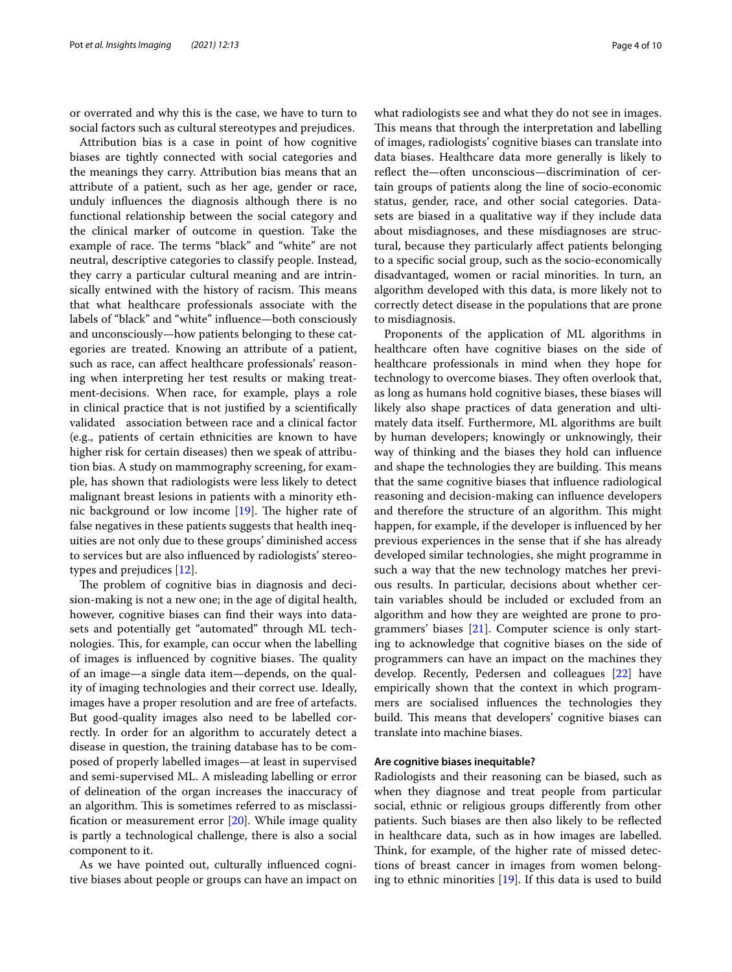or overrated and why this is the case, we have to turn to social factors such as cultural stereotypes and prejudices.

Attribution bias is a case in point of how cognitive biases are tightly connected with social categories and the meanings they carry. Attribution bias means that an attribute of a patient, such as her age, gender or race, unduly infuences the diagnosis although there is no functional relationship between the social category and the clinical marker of outcome in question. Take the example of race. The terms "black" and "white" are not neutral, descriptive categories to classify people. Instead, they carry a particular cultural meaning and are intrinsically entwined with the history of racism. This means that what healthcare professionals associate with the labels of "black" and "white" infuence—both consciously and unconsciously—how patients belonging to these categories are treated. Knowing an attribute of a patient, such as race, can afect healthcare professionals' reasoning when interpreting her test results or making treatment-decisions. When race, for example, plays a role in clinical practice that is not justifed by a scientifcally validated association between race and a clinical factor (e.g., patients of certain ethnicities are known to have higher risk for certain diseases) then we speak of attribution bias. A study on mammography screening, for example, has shown that radiologists were less likely to detect malignant breast lesions in patients with a minority ethnic background or low income  $[19]$  $[19]$ . The higher rate of false negatives in these patients suggests that health inequities are not only due to these groups' diminished access to services but are also infuenced by radiologists' stereotypes and prejudices [\[12](#page-8-11)].

The problem of cognitive bias in diagnosis and decision-making is not a new one; in the age of digital health, however, cognitive biases can fnd their ways into datasets and potentially get "automated" through ML technologies. This, for example, can occur when the labelling of images is influenced by cognitive biases. The quality of an image—a single data item—depends, on the quality of imaging technologies and their correct use. Ideally, images have a proper resolution and are free of artefacts. But good-quality images also need to be labelled correctly. In order for an algorithm to accurately detect a disease in question, the training database has to be composed of properly labelled images—at least in supervised and semi-supervised ML. A misleading labelling or error of delineation of the organ increases the inaccuracy of an algorithm. This is sometimes referred to as misclassifcation or measurement error [[20](#page-8-19)]. While image quality is partly a technological challenge, there is also a social component to it.

As we have pointed out, culturally infuenced cognitive biases about people or groups can have an impact on what radiologists see and what they do not see in images. This means that through the interpretation and labelling of images, radiologists' cognitive biases can translate into data biases. Healthcare data more generally is likely to reflect the—often unconscious—discrimination of certain groups of patients along the line of socio-economic status, gender, race, and other social categories. Datasets are biased in a qualitative way if they include data about misdiagnoses, and these misdiagnoses are structural, because they particularly afect patients belonging to a specifc social group, such as the socio-economically disadvantaged, women or racial minorities. In turn, an algorithm developed with this data, is more likely not to correctly detect disease in the populations that are prone to misdiagnosis.

Proponents of the application of ML algorithms in healthcare often have cognitive biases on the side of healthcare professionals in mind when they hope for technology to overcome biases. They often overlook that, as long as humans hold cognitive biases, these biases will likely also shape practices of data generation and ultimately data itself. Furthermore, ML algorithms are built by human developers; knowingly or unknowingly, their way of thinking and the biases they hold can infuence and shape the technologies they are building. This means that the same cognitive biases that infuence radiological reasoning and decision-making can infuence developers and therefore the structure of an algorithm. This might happen, for example, if the developer is infuenced by her previous experiences in the sense that if she has already developed similar technologies, she might programme in such a way that the new technology matches her previous results. In particular, decisions about whether certain variables should be included or excluded from an algorithm and how they are weighted are prone to programmers' biases [\[21](#page-8-20)]. Computer science is only starting to acknowledge that cognitive biases on the side of programmers can have an impact on the machines they develop. Recently, Pedersen and colleagues [\[22](#page-8-21)] have empirically shown that the context in which programmers are socialised infuences the technologies they build. This means that developers' cognitive biases can translate into machine biases.

## **Are cognitive biases inequitable?**

Radiologists and their reasoning can be biased, such as when they diagnose and treat people from particular social, ethnic or religious groups diferently from other patients. Such biases are then also likely to be refected in healthcare data, such as in how images are labelled. Think, for example, of the higher rate of missed detections of breast cancer in images from women belonging to ethnic minorities [[19\]](#page-8-18). If this data is used to build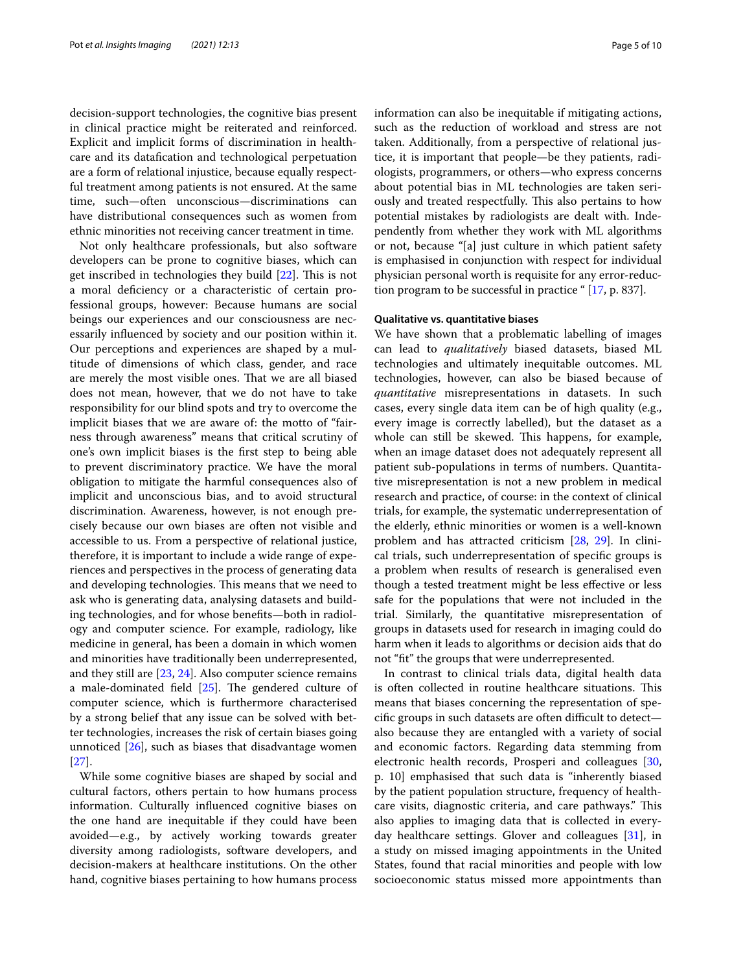decision-support technologies, the cognitive bias present in clinical practice might be reiterated and reinforced. Explicit and implicit forms of discrimination in healthcare and its datafcation and technological perpetuation are a form of relational injustice, because equally respectful treatment among patients is not ensured. At the same time, such—often unconscious—discriminations can have distributional consequences such as women from ethnic minorities not receiving cancer treatment in time.

Not only healthcare professionals, but also software developers can be prone to cognitive biases, which can get inscribed in technologies they build  $[22]$  $[22]$ . This is not a moral defciency or a characteristic of certain professional groups, however: Because humans are social beings our experiences and our consciousness are necessarily infuenced by society and our position within it. Our perceptions and experiences are shaped by a multitude of dimensions of which class, gender, and race are merely the most visible ones. That we are all biased does not mean, however, that we do not have to take responsibility for our blind spots and try to overcome the implicit biases that we are aware of: the motto of "fairness through awareness" means that critical scrutiny of one's own implicit biases is the frst step to being able to prevent discriminatory practice. We have the moral obligation to mitigate the harmful consequences also of implicit and unconscious bias, and to avoid structural discrimination. Awareness, however, is not enough precisely because our own biases are often not visible and accessible to us. From a perspective of relational justice, therefore, it is important to include a wide range of experiences and perspectives in the process of generating data and developing technologies. This means that we need to ask who is generating data, analysing datasets and building technologies, and for whose benefts—both in radiology and computer science. For example, radiology, like medicine in general, has been a domain in which women and minorities have traditionally been underrepresented, and they still are  $[23, 24]$  $[23, 24]$  $[23, 24]$ . Also computer science remains a male-dominated field  $[25]$  $[25]$  $[25]$ . The gendered culture of computer science, which is furthermore characterised by a strong belief that any issue can be solved with better technologies, increases the risk of certain biases going unnoticed  $[26]$  $[26]$  $[26]$ , such as biases that disadvantage women [[27\]](#page-8-26).

While some cognitive biases are shaped by social and cultural factors, others pertain to how humans process information. Culturally infuenced cognitive biases on the one hand are inequitable if they could have been avoided—e.g., by actively working towards greater diversity among radiologists, software developers, and decision-makers at healthcare institutions. On the other hand, cognitive biases pertaining to how humans process information can also be inequitable if mitigating actions, such as the reduction of workload and stress are not taken. Additionally, from a perspective of relational justice, it is important that people—be they patients, radiologists, programmers, or others—who express concerns about potential bias in ML technologies are taken seriously and treated respectfully. This also pertains to how potential mistakes by radiologists are dealt with. Independently from whether they work with ML algorithms or not, because "[a] just culture in which patient safety is emphasised in conjunction with respect for individual physician personal worth is requisite for any error-reduction program to be successful in practice " [[17](#page-8-16), p. 837].

## **Qualitative vs. quantitative biases**

We have shown that a problematic labelling of images can lead to *qualitatively* biased datasets, biased ML technologies and ultimately inequitable outcomes. ML technologies, however, can also be biased because of *quantitative* misrepresentations in datasets. In such cases, every single data item can be of high quality (e.g., every image is correctly labelled), but the dataset as a whole can still be skewed. This happens, for example, when an image dataset does not adequately represent all patient sub-populations in terms of numbers. Quantitative misrepresentation is not a new problem in medical research and practice, of course: in the context of clinical trials, for example, the systematic underrepresentation of the elderly, ethnic minorities or women is a well-known problem and has attracted criticism [\[28](#page-8-27), [29\]](#page-8-28). In clinical trials, such underrepresentation of specifc groups is a problem when results of research is generalised even though a tested treatment might be less efective or less safe for the populations that were not included in the trial. Similarly, the quantitative misrepresentation of groups in datasets used for research in imaging could do harm when it leads to algorithms or decision aids that do not "ft" the groups that were underrepresented.

In contrast to clinical trials data, digital health data is often collected in routine healthcare situations. This means that biases concerning the representation of specific groups in such datasets are often difficult to detectalso because they are entangled with a variety of social and economic factors. Regarding data stemming from electronic health records, Prosperi and colleagues [[30](#page-9-0), p. 10] emphasised that such data is "inherently biased by the patient population structure, frequency of healthcare visits, diagnostic criteria, and care pathways." This also applies to imaging data that is collected in everyday healthcare settings. Glover and colleagues [[31\]](#page-9-1), in a study on missed imaging appointments in the United States, found that racial minorities and people with low socioeconomic status missed more appointments than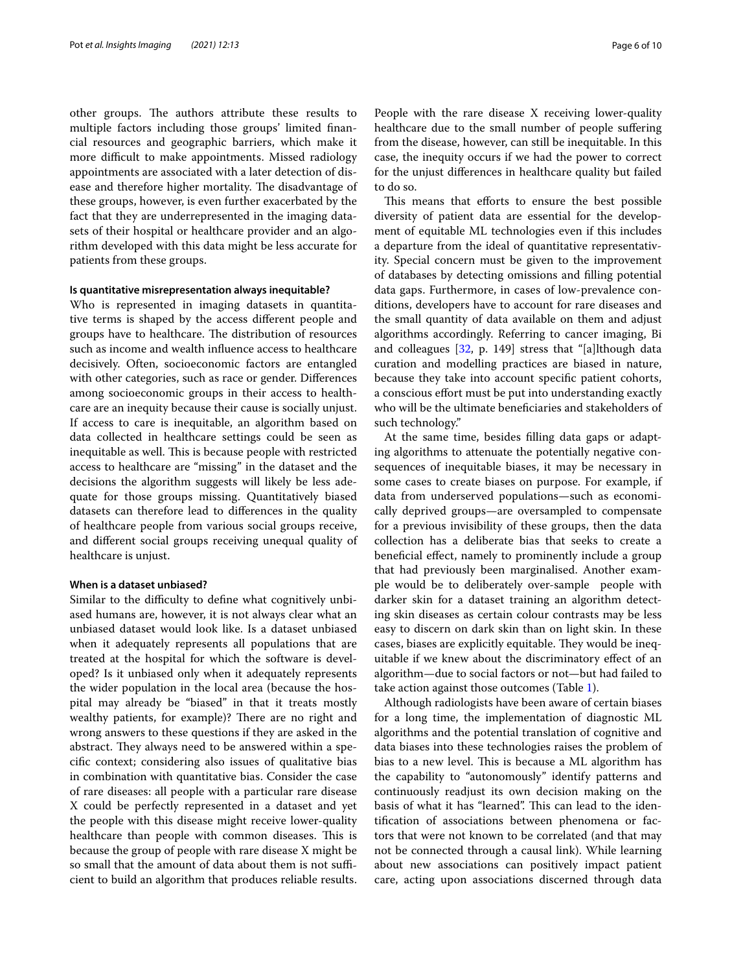other groups. The authors attribute these results to multiple factors including those groups' limited fnancial resources and geographic barriers, which make it more difficult to make appointments. Missed radiology appointments are associated with a later detection of disease and therefore higher mortality. The disadvantage of these groups, however, is even further exacerbated by the fact that they are underrepresented in the imaging datasets of their hospital or healthcare provider and an algorithm developed with this data might be less accurate for patients from these groups.

## **Is quantitative misrepresentation always inequitable?**

Who is represented in imaging datasets in quantitative terms is shaped by the access diferent people and groups have to healthcare. The distribution of resources such as income and wealth infuence access to healthcare decisively. Often, socioeconomic factors are entangled with other categories, such as race or gender. Diferences among socioeconomic groups in their access to healthcare are an inequity because their cause is socially unjust. If access to care is inequitable, an algorithm based on data collected in healthcare settings could be seen as inequitable as well. This is because people with restricted access to healthcare are "missing" in the dataset and the decisions the algorithm suggests will likely be less adequate for those groups missing. Quantitatively biased datasets can therefore lead to diferences in the quality of healthcare people from various social groups receive, and diferent social groups receiving unequal quality of healthcare is unjust.

# **When is a dataset unbiased?**

Similar to the difficulty to define what cognitively unbiased humans are, however, it is not always clear what an unbiased dataset would look like. Is a dataset unbiased when it adequately represents all populations that are treated at the hospital for which the software is developed? Is it unbiased only when it adequately represents the wider population in the local area (because the hospital may already be "biased" in that it treats mostly wealthy patients, for example)? There are no right and wrong answers to these questions if they are asked in the abstract. They always need to be answered within a specifc context; considering also issues of qualitative bias in combination with quantitative bias. Consider the case of rare diseases: all people with a particular rare disease X could be perfectly represented in a dataset and yet the people with this disease might receive lower-quality healthcare than people with common diseases. This is because the group of people with rare disease X might be so small that the amount of data about them is not sufficient to build an algorithm that produces reliable results. People with the rare disease X receiving lower-quality healthcare due to the small number of people sufering from the disease, however, can still be inequitable. In this case, the inequity occurs if we had the power to correct for the unjust diferences in healthcare quality but failed to do so.

This means that efforts to ensure the best possible diversity of patient data are essential for the development of equitable ML technologies even if this includes a departure from the ideal of quantitative representativity. Special concern must be given to the improvement of databases by detecting omissions and flling potential data gaps. Furthermore, in cases of low-prevalence conditions, developers have to account for rare diseases and the small quantity of data available on them and adjust algorithms accordingly. Referring to cancer imaging, Bi and colleagues [\[32](#page-9-2), p. 149] stress that "[a]lthough data curation and modelling practices are biased in nature, because they take into account specifc patient cohorts, a conscious effort must be put into understanding exactly who will be the ultimate benefciaries and stakeholders of such technology."

At the same time, besides flling data gaps or adapting algorithms to attenuate the potentially negative consequences of inequitable biases, it may be necessary in some cases to create biases on purpose. For example, if data from underserved populations—such as economically deprived groups—are oversampled to compensate for a previous invisibility of these groups, then the data collection has a deliberate bias that seeks to create a benefcial efect, namely to prominently include a group that had previously been marginalised. Another example would be to deliberately over-sample people with darker skin for a dataset training an algorithm detecting skin diseases as certain colour contrasts may be less easy to discern on dark skin than on light skin. In these cases, biases are explicitly equitable. They would be inequitable if we knew about the discriminatory efect of an algorithm—due to social factors or not—but had failed to take action against those outcomes (Table [1](#page-6-0)).

Although radiologists have been aware of certain biases for a long time, the implementation of diagnostic ML algorithms and the potential translation of cognitive and data biases into these technologies raises the problem of bias to a new level. This is because a ML algorithm has the capability to "autonomously" identify patterns and continuously readjust its own decision making on the basis of what it has "learned". This can lead to the identifcation of associations between phenomena or factors that were not known to be correlated (and that may not be connected through a causal link). While learning about new associations can positively impact patient care, acting upon associations discerned through data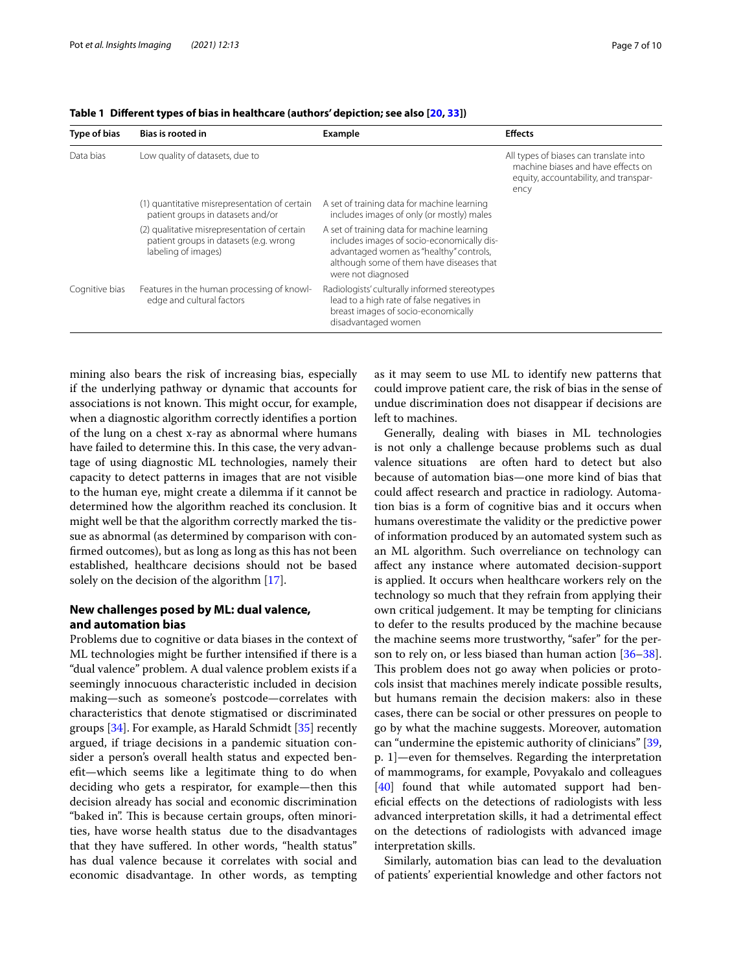| Type of bias   | <b>Bias is rooted in</b>                                                                                      | Example                                                                                                                                                                                                | <b>Effects</b>                                                                                                                |
|----------------|---------------------------------------------------------------------------------------------------------------|--------------------------------------------------------------------------------------------------------------------------------------------------------------------------------------------------------|-------------------------------------------------------------------------------------------------------------------------------|
| Data bias      | Low quality of datasets, due to                                                                               |                                                                                                                                                                                                        | All types of biases can translate into<br>machine biases and have effects on<br>equity, accountability, and transpar-<br>ency |
|                | (1) quantitative misrepresentation of certain<br>patient groups in datasets and/or                            | A set of training data for machine learning<br>includes images of only (or mostly) males                                                                                                               |                                                                                                                               |
|                | (2) qualitative misrepresentation of certain<br>patient groups in datasets (e.g. wrong<br>labeling of images) | A set of training data for machine learning<br>includes images of socio-economically dis-<br>advantaged women as "healthy" controls,<br>although some of them have diseases that<br>were not diagnosed |                                                                                                                               |
| Cognitive bias | Features in the human processing of knowl-<br>edge and cultural factors                                       | Radiologists' culturally informed stereotypes<br>lead to a high rate of false negatives in<br>breast images of socio-economically<br>disadvantaged women                                               |                                                                                                                               |

<span id="page-6-0"></span>**Table 1 Diferent types of bias in healthcare (authors' depiction; see also [\[20](#page-8-19), [33](#page-9-9)])**

mining also bears the risk of increasing bias, especially if the underlying pathway or dynamic that accounts for associations is not known. This might occur, for example, when a diagnostic algorithm correctly identifes a portion of the lung on a chest x-ray as abnormal where humans have failed to determine this. In this case, the very advantage of using diagnostic ML technologies, namely their capacity to detect patterns in images that are not visible to the human eye, might create a dilemma if it cannot be determined how the algorithm reached its conclusion. It might well be that the algorithm correctly marked the tissue as abnormal (as determined by comparison with confrmed outcomes), but as long as long as this has not been established, healthcare decisions should not be based solely on the decision of the algorithm [[17\]](#page-8-16).

# **New challenges posed by ML: dual valence, and automation bias**

Problems due to cognitive or data biases in the context of ML technologies might be further intensifed if there is a "dual valence" problem. A dual valence problem exists if a seemingly innocuous characteristic included in decision making—such as someone's postcode—correlates with characteristics that denote stigmatised or discriminated groups [\[34](#page-9-3)]. For example, as Harald Schmidt [[35](#page-9-4)] recently argued, if triage decisions in a pandemic situation consider a person's overall health status and expected beneft—which seems like a legitimate thing to do when deciding who gets a respirator, for example—then this decision already has social and economic discrimination "baked in". This is because certain groups, often minorities, have worse health status due to the disadvantages that they have sufered. In other words, "health status" has dual valence because it correlates with social and economic disadvantage. In other words, as tempting as it may seem to use ML to identify new patterns that could improve patient care, the risk of bias in the sense of undue discrimination does not disappear if decisions are left to machines.

Generally, dealing with biases in ML technologies is not only a challenge because problems such as dual valence situations are often hard to detect but also because of automation bias—one more kind of bias that could afect research and practice in radiology. Automation bias is a form of cognitive bias and it occurs when humans overestimate the validity or the predictive power of information produced by an automated system such as an ML algorithm. Such overreliance on technology can afect any instance where automated decision-support is applied. It occurs when healthcare workers rely on the technology so much that they refrain from applying their own critical judgement. It may be tempting for clinicians to defer to the results produced by the machine because the machine seems more trustworthy, "safer" for the per-son to rely on, or less biased than human action [[36](#page-9-5)[–38](#page-9-6)]. This problem does not go away when policies or protocols insist that machines merely indicate possible results, but humans remain the decision makers: also in these cases, there can be social or other pressures on people to go by what the machine suggests. Moreover, automation can "undermine the epistemic authority of clinicians" [[39](#page-9-7), p. 1]—even for themselves. Regarding the interpretation of mammograms, for example, Povyakalo and colleagues [[40\]](#page-9-8) found that while automated support had benefcial efects on the detections of radiologists with less advanced interpretation skills, it had a detrimental efect on the detections of radiologists with advanced image interpretation skills.

Similarly, automation bias can lead to the devaluation of patients' experiential knowledge and other factors not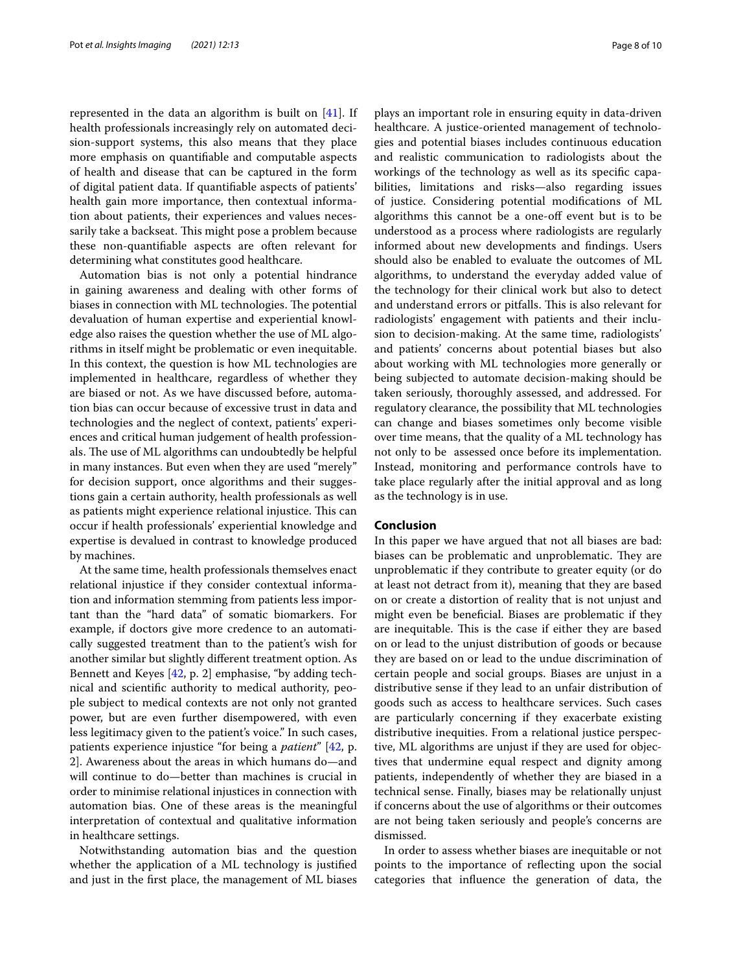represented in the data an algorithm is built on [\[41](#page-9-10)]. If health professionals increasingly rely on automated decision-support systems, this also means that they place more emphasis on quantifable and computable aspects of health and disease that can be captured in the form of digital patient data. If quantifable aspects of patients' health gain more importance, then contextual information about patients, their experiences and values necessarily take a backseat. This might pose a problem because these non-quantifable aspects are often relevant for determining what constitutes good healthcare.

Automation bias is not only a potential hindrance in gaining awareness and dealing with other forms of biases in connection with ML technologies. The potential devaluation of human expertise and experiential knowledge also raises the question whether the use of ML algorithms in itself might be problematic or even inequitable. In this context, the question is how ML technologies are implemented in healthcare, regardless of whether they are biased or not. As we have discussed before, automation bias can occur because of excessive trust in data and technologies and the neglect of context, patients' experiences and critical human judgement of health professionals. The use of ML algorithms can undoubtedly be helpful in many instances. But even when they are used "merely" for decision support, once algorithms and their suggestions gain a certain authority, health professionals as well as patients might experience relational injustice. This can occur if health professionals' experiential knowledge and expertise is devalued in contrast to knowledge produced by machines.

At the same time, health professionals themselves enact relational injustice if they consider contextual information and information stemming from patients less important than the "hard data" of somatic biomarkers. For example, if doctors give more credence to an automatically suggested treatment than to the patient's wish for another similar but slightly diferent treatment option. As Bennett and Keyes [[42](#page-9-11), p. 2] emphasise, "by adding technical and scientifc authority to medical authority, people subject to medical contexts are not only not granted power, but are even further disempowered, with even less legitimacy given to the patient's voice." In such cases, patients experience injustice "for being a *patient*" [[42,](#page-9-11) p. 2]. Awareness about the areas in which humans do—and will continue to do—better than machines is crucial in order to minimise relational injustices in connection with automation bias. One of these areas is the meaningful interpretation of contextual and qualitative information in healthcare settings.

Notwithstanding automation bias and the question whether the application of a ML technology is justifed and just in the frst place, the management of ML biases plays an important role in ensuring equity in data-driven healthcare. A justice-oriented management of technologies and potential biases includes continuous education and realistic communication to radiologists about the workings of the technology as well as its specifc capabilities, limitations and risks—also regarding issues of justice. Considering potential modifcations of ML algorithms this cannot be a one-of event but is to be understood as a process where radiologists are regularly informed about new developments and fndings. Users should also be enabled to evaluate the outcomes of ML algorithms, to understand the everyday added value of the technology for their clinical work but also to detect and understand errors or pitfalls. This is also relevant for radiologists' engagement with patients and their inclusion to decision-making. At the same time, radiologists' and patients' concerns about potential biases but also about working with ML technologies more generally or being subjected to automate decision-making should be taken seriously, thoroughly assessed, and addressed. For regulatory clearance, the possibility that ML technologies can change and biases sometimes only become visible over time means, that the quality of a ML technology has not only to be assessed once before its implementation. Instead, monitoring and performance controls have to take place regularly after the initial approval and as long as the technology is in use.

# **Conclusion**

In this paper we have argued that not all biases are bad: biases can be problematic and unproblematic. They are unproblematic if they contribute to greater equity (or do at least not detract from it), meaning that they are based on or create a distortion of reality that is not unjust and might even be benefcial. Biases are problematic if they are inequitable. This is the case if either they are based on or lead to the unjust distribution of goods or because they are based on or lead to the undue discrimination of certain people and social groups. Biases are unjust in a distributive sense if they lead to an unfair distribution of goods such as access to healthcare services. Such cases are particularly concerning if they exacerbate existing distributive inequities. From a relational justice perspective, ML algorithms are unjust if they are used for objectives that undermine equal respect and dignity among patients, independently of whether they are biased in a technical sense. Finally, biases may be relationally unjust if concerns about the use of algorithms or their outcomes are not being taken seriously and people's concerns are dismissed.

In order to assess whether biases are inequitable or not points to the importance of refecting upon the social categories that infuence the generation of data, the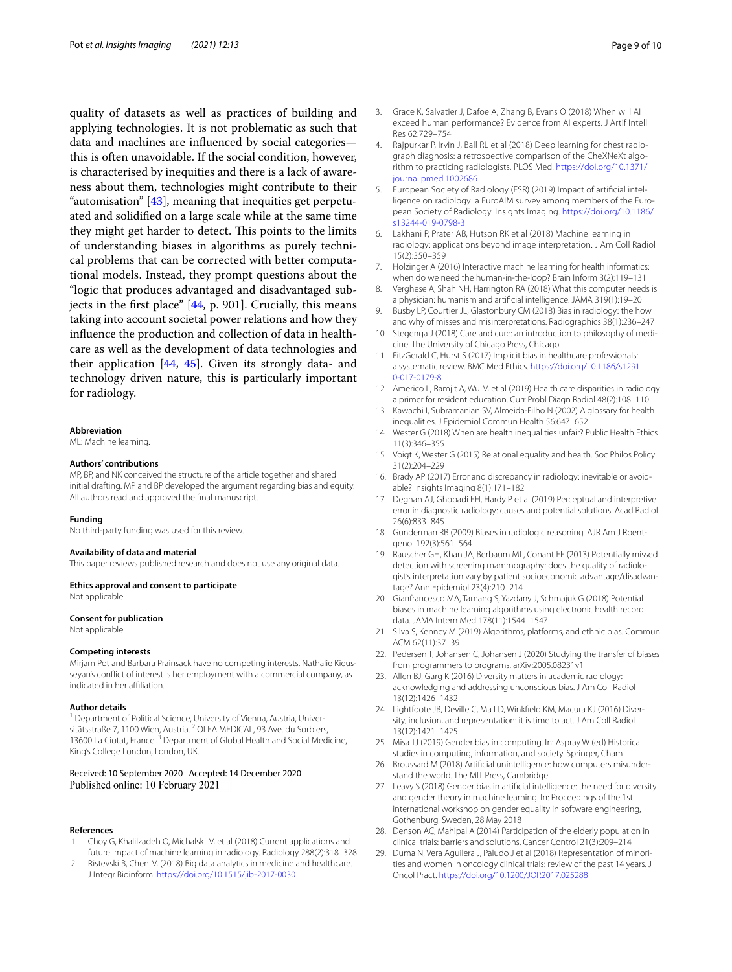quality of datasets as well as practices of building and applying technologies. It is not problematic as such that data and machines are infuenced by social categories this is often unavoidable. If the social condition, however, is characterised by inequities and there is a lack of awareness about them, technologies might contribute to their "automisation" [[43](#page-9-12)], meaning that inequities get perpetuated and solidifed on a large scale while at the same time they might get harder to detect. This points to the limits of understanding biases in algorithms as purely technical problems that can be corrected with better computational models. Instead, they prompt questions about the "logic that produces advantaged and disadvantaged subjects in the frst place" [[44](#page-9-13), p. 901]. Crucially, this means taking into account societal power relations and how they infuence the production and collection of data in healthcare as well as the development of data technologies and their application [\[44](#page-9-13), [45\]](#page-9-14). Given its strongly data- and technology driven nature, this is particularly important for radiology.

#### **Abbreviation**

ML: Machine learning.

#### **Authors' contributions**

MP, BP, and NK conceived the structure of the article together and shared initial drafting. MP and BP developed the argument regarding bias and equity. All authors read and approved the fnal manuscript.

#### **Funding**

No third-party funding was used for this review.

#### **Availability of data and material**

This paper reviews published research and does not use any original data.

## **Ethics approval and consent to participate**

Not applicable.

## **Consent for publication**

Not applicable.

#### **Competing interests**

Mirjam Pot and Barbara Prainsack have no competing interests. Nathalie Kieusseyan's confict of interest is her employment with a commercial company, as indicated in her affiliation.

#### **Author details**

<sup>1</sup> Department of Political Science, University of Vienna, Austria, Universitätsstraße 7, 1100 Wien, Austria. <sup>2</sup> OLEA MEDICAL, 93 Ave. du Sorbiers, 13600 La Ciotat, France.<sup>3</sup> Department of Global Health and Social Medicine, King's College London, London, UK.

## Received: 10 September 2020 Accepted: 14 December 2020 Published online: 10 February 2021

#### **References**

- <span id="page-8-0"></span>1. Choy G, Khalilzadeh O, Michalski M et al (2018) Current applications and future impact of machine learning in radiology. Radiology 288(2):318–328
- <span id="page-8-1"></span>2. Ristevski B, Chen M (2018) Big data analytics in medicine and healthcare. J Integr Bioinform. <https://doi.org/10.1515/jib-2017-0030>
- <span id="page-8-2"></span>3. Grace K, Salvatier J, Dafoe A, Zhang B, Evans O (2018) When will AI exceed human performance? Evidence from AI experts. J Artif Intell Res 62:729–754
- <span id="page-8-3"></span>4. Rajpurkar P, Irvin J, Ball RL et al (2018) Deep learning for chest radiograph diagnosis: a retrospective comparison of the CheXNeXt algorithm to practicing radiologists. PLOS Med. [https://doi.org/10.1371/](https://doi.org/10.1371/journal.pmed.1002686) [journal.pmed.1002686](https://doi.org/10.1371/journal.pmed.1002686)
- <span id="page-8-4"></span>5. European Society of Radiology (ESR) (2019) Impact of artifcial intelligence on radiology: a EuroAIM survey among members of the European Society of Radiology. Insights Imaging. [https://doi.org/10.1186/](https://doi.org/10.1186/s13244-019-0798-3) [s13244-019-0798-3](https://doi.org/10.1186/s13244-019-0798-3)
- <span id="page-8-5"></span>6. Lakhani P, Prater AB, Hutson RK et al (2018) Machine learning in radiology: applications beyond image interpretation. J Am Coll Radiol 15(2):350–359
- <span id="page-8-6"></span>7. Holzinger A (2016) Interactive machine learning for health informatics: when do we need the human-in-the-loop? Brain Inform 3(2):119–131
- <span id="page-8-7"></span>8. Verghese A, Shah NH, Harrington RA (2018) What this computer needs is a physician: humanism and artifcial intelligence. JAMA 319(1):19–20
- <span id="page-8-8"></span>9. Busby LP, Courtier JL, Glastonbury CM (2018) Bias in radiology: the how and why of misses and misinterpretations. Radiographics 38(1):236–247
- <span id="page-8-9"></span>10. Stegenga J (2018) Care and cure: an introduction to philosophy of medicine. The University of Chicago Press, Chicago
- <span id="page-8-10"></span>11. FitzGerald C, Hurst S (2017) Implicit bias in healthcare professionals: a systematic review. BMC Med Ethics. [https://doi.org/10.1186/s1291](https://doi.org/10.1186/s12910-017-0179-8) [0-017-0179-8](https://doi.org/10.1186/s12910-017-0179-8)
- <span id="page-8-11"></span>12. Americo L, Ramjit A, Wu M et al (2019) Health care disparities in radiology: a primer for resident education. Curr Probl Diagn Radiol 48(2):108–110
- <span id="page-8-12"></span>13. Kawachi I, Subramanian SV, Almeida-Filho N (2002) A glossary for health inequalities. J Epidemiol Commun Health 56:647–652
- <span id="page-8-13"></span>14. Wester G (2018) When are health inequalities unfair? Public Health Ethics 11(3):346–355
- <span id="page-8-14"></span>15. Voigt K, Wester G (2015) Relational equality and health. Soc Philos Policy 31(2):204–229
- <span id="page-8-15"></span>16. Brady AP (2017) Error and discrepancy in radiology: inevitable or avoidable? Insights Imaging 8(1):171–182
- <span id="page-8-16"></span>17. Degnan AJ, Ghobadi EH, Hardy P et al (2019) Perceptual and interpretive error in diagnostic radiology: causes and potential solutions. Acad Radiol 26(6):833–845
- <span id="page-8-17"></span>18. Gunderman RB (2009) Biases in radiologic reasoning. AJR Am J Roentgenol 192(3):561–564
- <span id="page-8-18"></span>19. Rauscher GH, Khan JA, Berbaum ML, Conant EF (2013) Potentially missed detection with screening mammography: does the quality of radiologist's interpretation vary by patient socioeconomic advantage/disadvantage? Ann Epidemiol 23(4):210–214
- <span id="page-8-19"></span>20. Gianfrancesco MA, Tamang S, Yazdany J, Schmajuk G (2018) Potential biases in machine learning algorithms using electronic health record data. JAMA Intern Med 178(11):1544–1547
- <span id="page-8-20"></span>21. Silva S, Kenney M (2019) Algorithms, platforms, and ethnic bias. Commun ACM 62(11):37–39
- <span id="page-8-21"></span>22. Pedersen T, Johansen C, Johansen J (2020) Studying the transfer of biases from programmers to programs. arXiv:2005.08231v1
- <span id="page-8-22"></span>23. Allen BJ, Garg K (2016) Diversity matters in academic radiology: acknowledging and addressing unconscious bias. J Am Coll Radiol 13(12):1426–1432
- <span id="page-8-23"></span>24. Lightfoote JB, Deville C, Ma LD, Winkfeld KM, Macura KJ (2016) Diversity, inclusion, and representation: it is time to act. J Am Coll Radiol 13(12):1421–1425
- <span id="page-8-24"></span>25 Misa TJ (2019) Gender bias in computing. In: Aspray W (ed) Historical studies in computing, information, and society. Springer, Cham
- <span id="page-8-25"></span>26. Broussard M (2018) Artifcial unintelligence: how computers misunderstand the world. The MIT Press, Cambridge
- <span id="page-8-26"></span>27. Leavy S (2018) Gender bias in artifcial intelligence: the need for diversity and gender theory in machine learning. In: Proceedings of the 1st international workshop on gender equality in software engineering, Gothenburg, Sweden, 28 May 2018
- <span id="page-8-27"></span>28. Denson AC, Mahipal A (2014) Participation of the elderly population in clinical trials: barriers and solutions. Cancer Control 21(3):209–214
- <span id="page-8-28"></span>29. Duma N, Vera Aguilera J, Paludo J et al (2018) Representation of minorities and women in oncology clinical trials: review of the past 14 years. J Oncol Pract.<https://doi.org/10.1200/JOP.2017.025288>